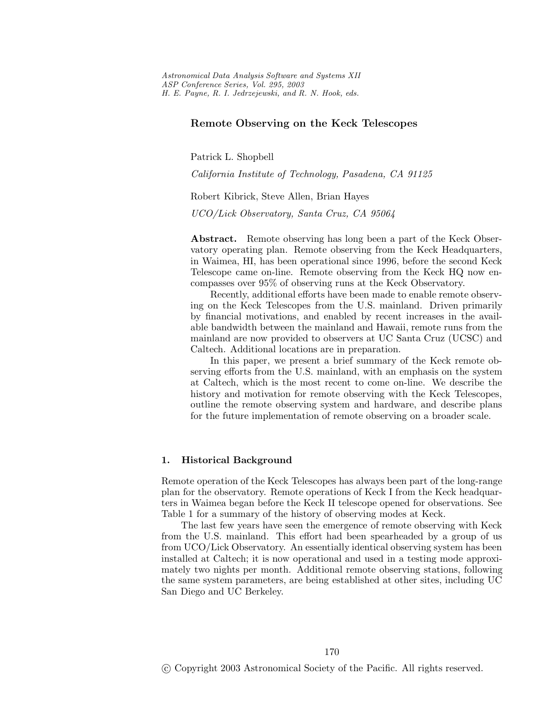*Astronomical Data Analysis Software and Systems XII ASP Conference Series, Vol. 295, 2003 H. E. Payne, R. I. Jedrzejewski, and R. N. Hook, eds.*

## **Remote Observing on the Keck Telescopes**

Patrick L. Shopbell

*California Institute of Technology, Pasadena, CA 91125*

Robert Kibrick, Steve Allen, Brian Hayes

*UCO/Lick Observatory, Santa Cruz, CA 95064*

**Abstract.** Remote observing has long been a part of the Keck Observatory operating plan. Remote observing from the Keck Headquarters, in Waimea, HI, has been operational since 1996, before the second Keck Telescope came on-line. Remote observing from the Keck HQ now encompasses over 95% of observing runs at the Keck Observatory.

Recently, additional efforts have been made to enable remote observing on the Keck Telescopes from the U.S. mainland. Driven primarily by financial motivations, and enabled by recent increases in the available bandwidth between the mainland and Hawaii, remote runs from the mainland are now provided to observers at UC Santa Cruz (UCSC) and Caltech. Additional locations are in preparation.

In this paper, we present a brief summary of the Keck remote observing efforts from the U.S. mainland, with an emphasis on the system at Caltech, which is the most recent to come on-line. We describe the history and motivation for remote observing with the Keck Telescopes, outline the remote observing system and hardware, and describe plans for the future implementation of remote observing on a broader scale.

### **1. Historical Background**

Remote operation of the Keck Telescopes has always been part of the long-range plan for the observatory. Remote operations of Keck I from the Keck headquarters in Waimea began before the Keck II telescope opened for observations. See Table 1 for a summary of the history of observing modes at Keck.

The last few years have seen the emergence of remote observing with Keck from the U.S. mainland. This effort had been spearheaded by a group of us from UCO/Lick Observatory. An essentially identical observing system has been installed at Caltech; it is now operational and used in a testing mode approximately two nights per month. Additional remote observing stations, following the same system parameters, are being establishedat other sites, including UC San Diego and UC Berkeley.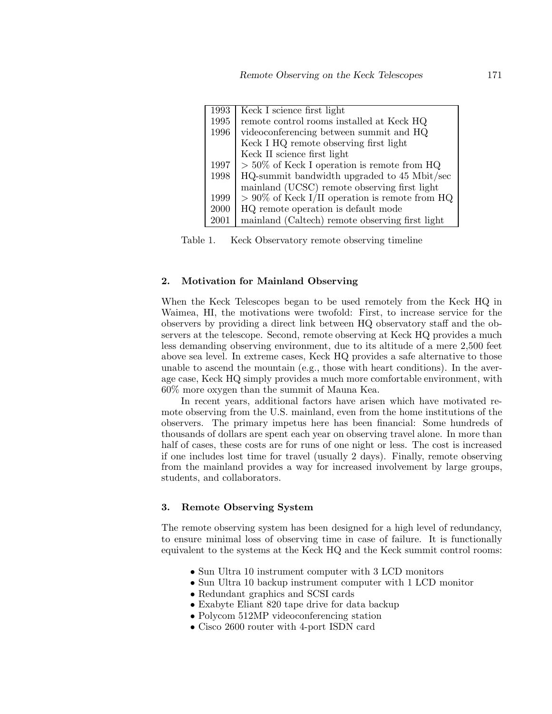| 1993 | Keck I science first light                        |
|------|---------------------------------------------------|
| 1995 | remote control rooms installed at Keck HQ         |
| 1996 | videoconferencing between summit and HQ           |
|      | Keck I HQ remote observing first light            |
|      | Keck II science first light                       |
| 1997 | $> 50\%$ of Keck I operation is remote from HQ    |
| 1998 | HQ-summit bandwidth upgraded to 45 Mbit/sec       |
|      | mainland (UCSC) remote observing first light      |
| 1999 | $> 90\%$ of Keck I/II operation is remote from HQ |
| 2000 | HQ remote operation is default mode               |
| 2001 | mainland (Caltech) remote observing first light   |

Table 1. Keck Observatory remote observing timeline

#### **2. Motivation for Mainland Observing**

When the Keck Telescopes began to be used remotely from the Keck HQ in Waimea, HI, the motivations were twofold: First, to increase service for the observers by providing a direct link between HQ observatory staff and the observers at the telescope. Second, remote observing at Keck HQ provides a much less demanding observing environment, due to its altitude of a mere 2,500 feet above sea level. In extreme cases, Keck HQ provides a safe alternative to those unable to ascend the mountain (e.g., those with heart conditions). In the average case, Keck HQ simply provides a much more comfortable environment, with 60% more oxygen than the summit of Mauna Kea.

In recent years, additional factors have arisen which have motivated remote observing from the U.S. mainland, even from the home institutions of the observers. The primary impetus here has been financial: Some hundreds of thousands of dollars are spent each year on observing travel alone. In more than half of cases, these costs are for runs of one night or less. The cost is increased if one includes lost time for travel (usually 2 days). Finally, remote observing from the mainland provides a way for increased involvement by large groups, students, and collaborators.

#### **3. Remote Observing System**

The remote observing system has been designed for a high level of redundancy, to ensure minimal loss of observing time in case of failure. It is functionally equivalent to the systems at the Keck HQ and the Keck summit control rooms:

- Sun Ultra 10 instrument computer with 3 LCD monitors
- Sun Ultra 10 backup instrument computer with 1 LCD monitor
- Redundant graphics and SCSI cards
- Exabyte Eliant 820 tape drive for data backup
- Polycom 512MP videoconferencing station
- Cisco 2600 router with 4-port ISDN card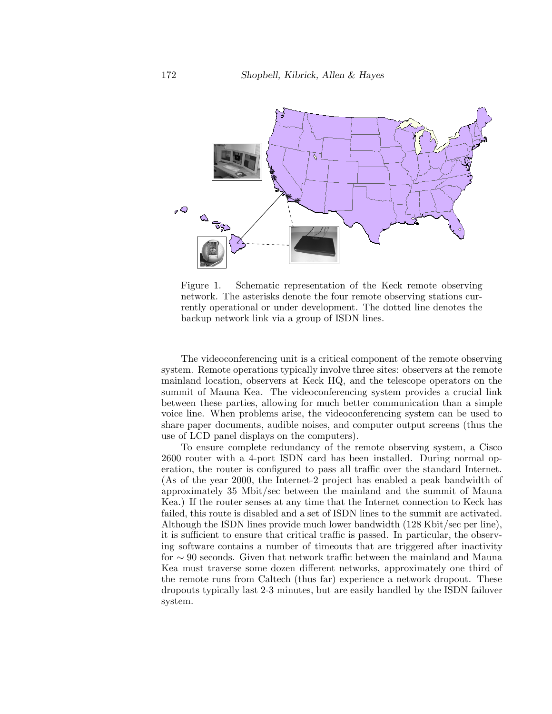

Figure 1. Schematic representation of the Keck remote observing network. The asterisks denote the four remote observing stations currently operational or under development. The dotted line denotes the backup network link via a group of ISDN lines.

The videoconferencing unit is a critical component of the remote observing system. Remote operations typically involve three sites: observers at the remote mainland location, observers at Keck HQ, and the telescope operators on the summit of Mauna Kea. The videoconferencing system provides a crucial link between these parties, allowing for much better communication than a simple voice line. When problems arise, the videoconferencing system can be used to share paper documents, audible noises, and computer output screens (thus the use of LCD panel displays on the computers).

To ensure complete redundancy of the remote observing system, a Cisco 2600 router with a 4-port ISDN cardhas been installed. During normal operation, the router is configured to pass all traffic over the standard Internet. (As of the year 2000, the Internet-2 project has enabled a peak bandwidth of approximately 35 Mbit/sec between the mainland and the summit of Mauna Kea.) If the router senses at any time that the Internet connection to Keck has failed, this route is disabled and a set of ISDN lines to the summit are activated. Although the ISDN lines provide much lower bandwidth (128 Kbit/sec per line), it is sufficient to ensure that critical traffic is passed. In particular, the observing software contains a number of timeouts that are triggeredafter inactivity for ∼ 90 seconds. Given that network traffic between the mainland and Mauna Kea must traverse some dozen different networks, approximately one third of the remote runs from Caltech (thus far) experience a network dropout. These dropouts typically last 2-3 minutes, but are easily handled by the ISDN failover system.